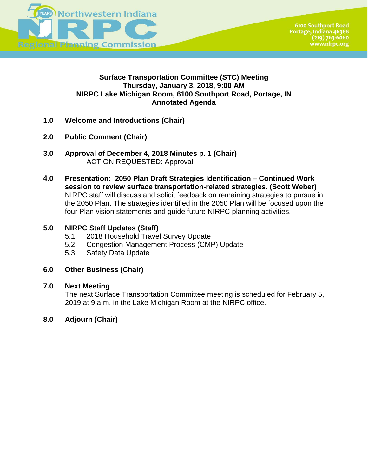

# **Surface Transportation Committee (STC) Meeting Thursday, January 3, 2018, 9:00 AM NIRPC Lake Michigan Room, 6100 Southport Road, Portage, IN Annotated Agenda**

- **1.0 Welcome and Introductions (Chair)**
- **2.0 Public Comment (Chair)**
- **3.0 Approval of December 4, 2018 Minutes p. 1 (Chair)** ACTION REQUESTED: Approval
- **4.0 Presentation: 2050 Plan Draft Strategies Identification Continued Work session to review surface transportation-related strategies. (Scott Weber)**  NIRPC staff will discuss and solicit feedback on remaining strategies to pursue in the 2050 Plan. The strategies identified in the 2050 Plan will be focused upon the four Plan vision statements and guide future NIRPC planning activities.

## **5.0 NIRPC Staff Updates (Staff)**

- 5.1 2018 Household Travel Survey Update
- 5.2 Congestion Management Process (CMP) Update
- 5.3 Safety Data Update

## **6.0 Other Business (Chair)**

## **7.0 Next Meeting**

The next Surface Transportation Committee meeting is scheduled for February 5, 2019 at 9 a.m. in the Lake Michigan Room at the NIRPC office.

 **8.0 Adjourn (Chair)**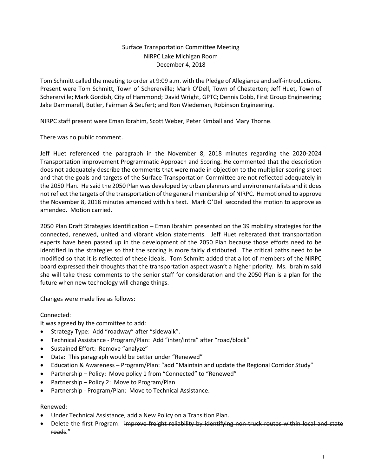#### Surface Transportation Committee Meeting NIRPC Lake Michigan Room December 4, 2018

Tom Schmitt called the meeting to order at 9:09 a.m. with the Pledge of Allegiance and self-introductions. Present were Tom Schmitt, Town of Schererville; Mark O'Dell, Town of Chesterton; Jeff Huet, Town of Schererville; Mark Gordish, City of Hammond; David Wright, GPTC; Dennis Cobb, First Group Engineering; Jake Dammarell, Butler, Fairman & Seufert; and Ron Wiedeman, Robinson Engineering.

NIRPC staff present were Eman Ibrahim, Scott Weber, Peter Kimball and Mary Thorne.

There was no public comment.

Jeff Huet referenced the paragraph in the November 8, 2018 minutes regarding the 2020-2024 Transportation improvement Programmatic Approach and Scoring. He commented that the description does not adequately describe the comments that were made in objection to the multiplier scoring sheet and that the goals and targets of the Surface Transportation Committee are not reflected adequately in the 2050 Plan. He said the 2050 Plan was developed by urban planners and environmentalists and it does not reflect the targets of the transportation of the general membership of NIRPC. He motioned to approve the November 8, 2018 minutes amended with his text. Mark O'Dell seconded the motion to approve as amended. Motion carried.

2050 Plan Draft Strategies Identification – Eman Ibrahim presented on the 39 mobility strategies for the connected, renewed, united and vibrant vision statements. Jeff Huet reiterated that transportation experts have been passed up in the development of the 2050 Plan because those efforts need to be identified in the strategies so that the scoring is more fairly distributed. The critical paths need to be modified so that it is reflected of these ideals. Tom Schmitt added that a lot of members of the NIRPC board expressed their thoughts that the transportation aspect wasn't a higher priority. Ms. Ibrahim said she will take these comments to the senior staff for consideration and the 2050 Plan is a plan for the future when new technology will change things.

Changes were made live as follows:

#### Connected:

It was agreed by the committee to add:

- Strategy Type: Add "roadway" after "sidewalk".
- Technical Assistance Program/Plan: Add "inter/intra" after "road/block"
- Sustained Effort: Remove "analyze"
- Data: This paragraph would be better under "Renewed"
- Education & Awareness Program/Plan: "add "Maintain and update the Regional Corridor Study"
- Partnership Policy: Move policy 1 from "Connected" to "Renewed"
- Partnership Policy 2: Move to Program/Plan
- Partnership Program/Plan: Move to Technical Assistance.

#### Renewed:

- Under Technical Assistance, add a New Policy on a Transition Plan.
- Delete the first Program: improve freight reliability by identifying non-truck routes within local and state roads."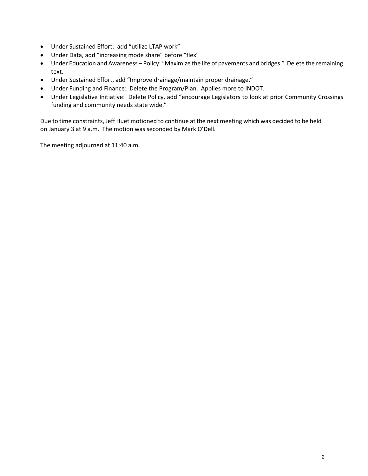- Under Sustained Effort: add "utilize LTAP work"
- Under Data, add "increasing mode share" before "flex"
- Under Education and Awareness Policy: "Maximize the life of pavements and bridges." Delete the remaining text.
- Under Sustained Effort, add "Improve drainage/maintain proper drainage."
- Under Funding and Finance: Delete the Program/Plan. Applies more to INDOT.
- Under Legislative Initiative: Delete Policy, add "encourage Legislators to look at prior Community Crossings funding and community needs state wide."

Due to time constraints, Jeff Huet motioned to continue at the next meeting which was decided to be held on January 3 at 9 a.m. The motion was seconded by Mark O'Dell.

The meeting adjourned at 11:40 a.m.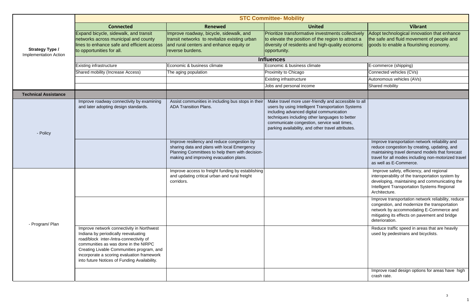|                                                        | <b>STC Committee- Mobility</b>                                                                                                                                                                                                                                                                                  |                                                                                                                                                                                         |                                                                                                                                                                                                                                                                                                              |                                                                                                                                                                                                                                                                                                                                                                                                                 |
|--------------------------------------------------------|-----------------------------------------------------------------------------------------------------------------------------------------------------------------------------------------------------------------------------------------------------------------------------------------------------------------|-----------------------------------------------------------------------------------------------------------------------------------------------------------------------------------------|--------------------------------------------------------------------------------------------------------------------------------------------------------------------------------------------------------------------------------------------------------------------------------------------------------------|-----------------------------------------------------------------------------------------------------------------------------------------------------------------------------------------------------------------------------------------------------------------------------------------------------------------------------------------------------------------------------------------------------------------|
| <b>Strategy Type /</b><br><b>Implementation Action</b> | <b>Connected</b>                                                                                                                                                                                                                                                                                                | <b>Renewed</b>                                                                                                                                                                          | <b>United</b>                                                                                                                                                                                                                                                                                                | <b>Vibrant</b>                                                                                                                                                                                                                                                                                                                                                                                                  |
|                                                        | Expand bicycle, sidewalk, and transit<br>networks across municipal and county<br>lines to enhance safe and efficient access<br>to opportunities for all.                                                                                                                                                        | Improve roadway, bicycle, sidewalk, and<br>transit networks to revitalize existing urban<br>and rural centers and enhance equity or<br>reverse burdens.                                 | Prioritize transformative investments collectively<br>to elevate the position of the region to attract a<br>diversity of residents and high-quality economic<br>opportunity.                                                                                                                                 | Adopt technological innovation that enhance<br>the safe and fluid movement of people and<br>goods to enable a flourishing economy.                                                                                                                                                                                                                                                                              |
|                                                        |                                                                                                                                                                                                                                                                                                                 |                                                                                                                                                                                         | <b>Influences</b>                                                                                                                                                                                                                                                                                            |                                                                                                                                                                                                                                                                                                                                                                                                                 |
|                                                        | <b>Existing infrastructure</b>                                                                                                                                                                                                                                                                                  | Economic & business climate                                                                                                                                                             | Economic & business climate                                                                                                                                                                                                                                                                                  | E-commerce (shipping)                                                                                                                                                                                                                                                                                                                                                                                           |
|                                                        | Shared mobility (Increase Access)                                                                                                                                                                                                                                                                               | The aging population                                                                                                                                                                    | Proximity to Chicago                                                                                                                                                                                                                                                                                         | Connected vehicles (CVs)                                                                                                                                                                                                                                                                                                                                                                                        |
|                                                        |                                                                                                                                                                                                                                                                                                                 |                                                                                                                                                                                         | <b>Existing infrastructure</b>                                                                                                                                                                                                                                                                               | Autonomous vehicles (AVs)                                                                                                                                                                                                                                                                                                                                                                                       |
|                                                        |                                                                                                                                                                                                                                                                                                                 |                                                                                                                                                                                         | Jobs and personal income                                                                                                                                                                                                                                                                                     | Shared mobility                                                                                                                                                                                                                                                                                                                                                                                                 |
| <b>Technical Assistance</b>                            |                                                                                                                                                                                                                                                                                                                 |                                                                                                                                                                                         |                                                                                                                                                                                                                                                                                                              |                                                                                                                                                                                                                                                                                                                                                                                                                 |
| - Policy                                               | Improve roadway connectivity by examining<br>and later adopting design standards.                                                                                                                                                                                                                               | Assist communities in including bus stops in their<br><b>ADA Transition Plans.</b>                                                                                                      | Make travel more user-friendly and accessible to all<br>users by using Intelligent Transportation Systems<br>including advanced digital communication<br>techniques including other languages to better<br>communicate congestion, service wait times,<br>parking availability, and other travel attributes. |                                                                                                                                                                                                                                                                                                                                                                                                                 |
|                                                        |                                                                                                                                                                                                                                                                                                                 | Improve resiliency and reduce congestion by<br>sharing data and plans with local Emergency<br>Planning Committees to help them with decision-<br>making and improving evacuation plans. |                                                                                                                                                                                                                                                                                                              | Improve transportation network reliability and<br>reduce congestion by creating, updating, and<br>maintaining travel demand models that forecast<br>travel for all modes including non-motorized travel<br>as well as E-Commerce.                                                                                                                                                                               |
|                                                        |                                                                                                                                                                                                                                                                                                                 | Improve access to freight funding by establishing<br>and updating critical urban and rural freight<br>corridors.                                                                        |                                                                                                                                                                                                                                                                                                              | Improve safety, efficiency, and regional<br>interoperability of the transportation system by<br>developing, maintaining and communicating the<br>Intelligent Transportation Systems Regional<br>Architecture.<br>Improve transportation network reliability, reduce<br>congestion, and modernize the transportation<br>network by accommodating E-Commerce and<br>mitigating its effects on pavement and bridge |
| - Program/ Plan                                        | Improve network connectivity in Northwest<br>Indiana by periodically reevaluating<br>road/block inter-/intra-connectivity of<br>communities as was done in the NIRPC<br>Creating Livable Communities program, and<br>incorporate a scoring evaluation framework<br>into future Notices of Funding Availability. |                                                                                                                                                                                         |                                                                                                                                                                                                                                                                                                              | deterioration.<br>Reduce traffic speed in areas that are heavily<br>used by pedestrians and bicyclists.<br>Improve road design options for areas have high<br>crash rate.                                                                                                                                                                                                                                       |

|                             | <b>Vibrant</b>                                                                                                                     |
|-----------------------------|------------------------------------------------------------------------------------------------------------------------------------|
| ectively<br>ract a<br>nomic | Adopt technological innovation that enhance<br>the safe and fluid movement of people and<br>goods to enable a flourishing economy. |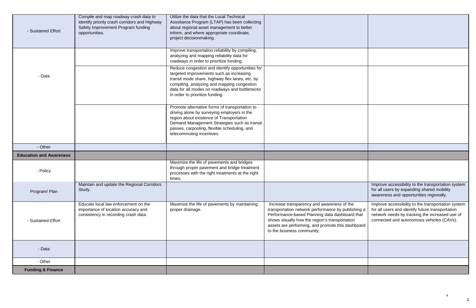| - Sustained Effort             | Compile and map roadway crash data to<br>identify priority crash corridors and Highway<br>Safety Improvement Program funding<br>opportunities. | Utilize the data that the Local Technical<br>Asssitance Program (LTAP) has been collecting<br>about regional asset management to better<br>inform, and where appropriate coordinate,<br>project decisionmaking.                                                                     |                                                                                                                                                                                                                                                                                         |
|--------------------------------|------------------------------------------------------------------------------------------------------------------------------------------------|-------------------------------------------------------------------------------------------------------------------------------------------------------------------------------------------------------------------------------------------------------------------------------------|-----------------------------------------------------------------------------------------------------------------------------------------------------------------------------------------------------------------------------------------------------------------------------------------|
|                                |                                                                                                                                                | Improve transportation reliability by compiling,<br>analyzing and mapping reliability data for<br>roadways in order to prioritize funding.                                                                                                                                          |                                                                                                                                                                                                                                                                                         |
| - Data                         |                                                                                                                                                | Reduce congestion and identify opportunities for<br>targeted improvements such as increasing<br>transit mode share, highway flex lanes, etc. by<br>compiling, analyzing and mapping congestion<br>data for all modes on roadways and bottlenecks<br>in order to prioritize funding. |                                                                                                                                                                                                                                                                                         |
|                                |                                                                                                                                                | Promote alternative forms of transportation to<br>driving alone by surveying employers in the<br>region about existence of Transportation<br>Demand Management Strategies such as transit<br>passes, carpooling, flexible scheduling, and<br>telecommuting incentives.              |                                                                                                                                                                                                                                                                                         |
| - Other                        |                                                                                                                                                |                                                                                                                                                                                                                                                                                     |                                                                                                                                                                                                                                                                                         |
| <b>Education and Awareness</b> |                                                                                                                                                |                                                                                                                                                                                                                                                                                     |                                                                                                                                                                                                                                                                                         |
| - Policy                       |                                                                                                                                                | Maximize the life of pavements and bridges<br>through proper pavement and bridge treatment<br>processes with the right treatments at the right<br>times.                                                                                                                            |                                                                                                                                                                                                                                                                                         |
| Program/Plan                   | Maintain and update the Regional Corridors<br>Study.                                                                                           |                                                                                                                                                                                                                                                                                     |                                                                                                                                                                                                                                                                                         |
| - Sustained Effort             | Educate local law enforcement on the<br>importance of location accuracy and<br>consistency in recording crash data.                            | Maximize the life of pavements by maintaining<br>proper drainage.                                                                                                                                                                                                                   | Increase transparency and awareness of the<br>transportation network performance by publishing a<br>Performance-based Planning data dashboard that<br>shows visually how the region's transportation<br>assets are performing, and promote this dashboard<br>to the business community. |
| - Data                         |                                                                                                                                                |                                                                                                                                                                                                                                                                                     |                                                                                                                                                                                                                                                                                         |
| - Other                        |                                                                                                                                                |                                                                                                                                                                                                                                                                                     |                                                                                                                                                                                                                                                                                         |
| <b>Funding &amp; Finance</b>   |                                                                                                                                                |                                                                                                                                                                                                                                                                                     |                                                                                                                                                                                                                                                                                         |

|                                             | Improve accessibility to the transportation system<br>for all users by expanding shared mobility<br>awareness and opportunities regionally.                                                           |
|---------------------------------------------|-------------------------------------------------------------------------------------------------------------------------------------------------------------------------------------------------------|
| ١e<br>lishing a<br>rd that<br>on<br>shboard | Improve accessibility to the transportation system<br>for all users and identify future transportation<br>network needs by tracking the increased use of<br>connected and autonomous vehicles (CAVs). |
|                                             |                                                                                                                                                                                                       |
|                                             |                                                                                                                                                                                                       |
|                                             |                                                                                                                                                                                                       |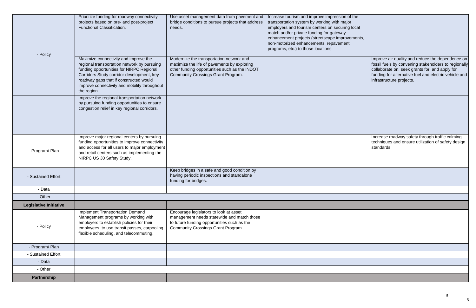| - Policy                      | Prioritize funding for roadway connectivity<br>projects based on pre- and post-project<br><b>Functional Classification.</b>                                                                                                                                                            | Use asset management data from pavement and<br>bridge conditions to pursue projects that address<br>needs.                                                                       | Increase tourism and improve impression of the<br>transportation system by working with major<br>employers and tourism centers on securing local<br>match and/or private funding for gateway<br>enhancement projects (streetscape improvements,<br>non-motorized enhancements, repavement<br>programs, etc.) to those locations. |
|-------------------------------|----------------------------------------------------------------------------------------------------------------------------------------------------------------------------------------------------------------------------------------------------------------------------------------|----------------------------------------------------------------------------------------------------------------------------------------------------------------------------------|----------------------------------------------------------------------------------------------------------------------------------------------------------------------------------------------------------------------------------------------------------------------------------------------------------------------------------|
|                               | Maximize connectivity and improve the<br>regional transportation network by pursuing<br>funding opportunities for NIRPC Regional<br>Corridors Study corridor development, key<br>roadway gaps that if constructed would<br>improve connectivity and mobility throughout<br>the region. | Modernize the transportation network and<br>maximize the life of pavements by exploring<br>other funding opportunities such as the INDOT<br>Community Crossings Grant Program.   |                                                                                                                                                                                                                                                                                                                                  |
|                               | Improve the regional transportation network<br>by pursuing funding opportunities to ensure<br>congestion relief in key regional corridors.                                                                                                                                             |                                                                                                                                                                                  |                                                                                                                                                                                                                                                                                                                                  |
| - Program/ Plan               | Improve major regional centers by pursuing<br>funding opportunities to improve connectivity<br>and access for all users to major employment<br>and retail centers such as implementing the<br>NIRPC US 30 Safety Study.                                                                |                                                                                                                                                                                  |                                                                                                                                                                                                                                                                                                                                  |
| - Sustained Effort            |                                                                                                                                                                                                                                                                                        | Keep bridges in a safe and good condition by<br>having periodic inspections and standalone<br>funding for bridges.                                                               |                                                                                                                                                                                                                                                                                                                                  |
| - Data                        |                                                                                                                                                                                                                                                                                        |                                                                                                                                                                                  |                                                                                                                                                                                                                                                                                                                                  |
| - Other                       |                                                                                                                                                                                                                                                                                        |                                                                                                                                                                                  |                                                                                                                                                                                                                                                                                                                                  |
| <b>Legislative Initiative</b> |                                                                                                                                                                                                                                                                                        |                                                                                                                                                                                  |                                                                                                                                                                                                                                                                                                                                  |
| - Policy                      | Implement Transportation Demand<br>Management programs by working with<br>employers to establish policies for their<br>employees to use transit passes, carpooling,<br>flexible scheduling, and telecommuting.                                                                         | Encourage legislators to look at asset<br>management needs statewide and match those<br>to future funding opportunities such as the<br><b>Community Crossings Grant Program.</b> |                                                                                                                                                                                                                                                                                                                                  |
| - Program/ Plan               |                                                                                                                                                                                                                                                                                        |                                                                                                                                                                                  |                                                                                                                                                                                                                                                                                                                                  |
| - Sustained Effort            |                                                                                                                                                                                                                                                                                        |                                                                                                                                                                                  |                                                                                                                                                                                                                                                                                                                                  |
| - Data                        |                                                                                                                                                                                                                                                                                        |                                                                                                                                                                                  |                                                                                                                                                                                                                                                                                                                                  |
| - Other                       |                                                                                                                                                                                                                                                                                        |                                                                                                                                                                                  |                                                                                                                                                                                                                                                                                                                                  |
| <b>Partnership</b>            |                                                                                                                                                                                                                                                                                        |                                                                                                                                                                                  |                                                                                                                                                                                                                                                                                                                                  |

| f the<br>r<br>local<br>ements, |                                                                                                                                                                                                                                                 |
|--------------------------------|-------------------------------------------------------------------------------------------------------------------------------------------------------------------------------------------------------------------------------------------------|
|                                | Improve air quality and reduce the dependence on<br>fossil fuels by convening stakeholders to regionally<br>collaborate on, seek grants for, and apply for<br>funding for alternative fuel and electric vehicle and<br>infrastructure projects. |
|                                |                                                                                                                                                                                                                                                 |
|                                | Increase roadway safety through traffic calming<br>techniques and ensure utilization of safety design<br>standards                                                                                                                              |
|                                |                                                                                                                                                                                                                                                 |
|                                |                                                                                                                                                                                                                                                 |
|                                |                                                                                                                                                                                                                                                 |
|                                |                                                                                                                                                                                                                                                 |
|                                |                                                                                                                                                                                                                                                 |
|                                |                                                                                                                                                                                                                                                 |
|                                |                                                                                                                                                                                                                                                 |
|                                |                                                                                                                                                                                                                                                 |
|                                |                                                                                                                                                                                                                                                 |